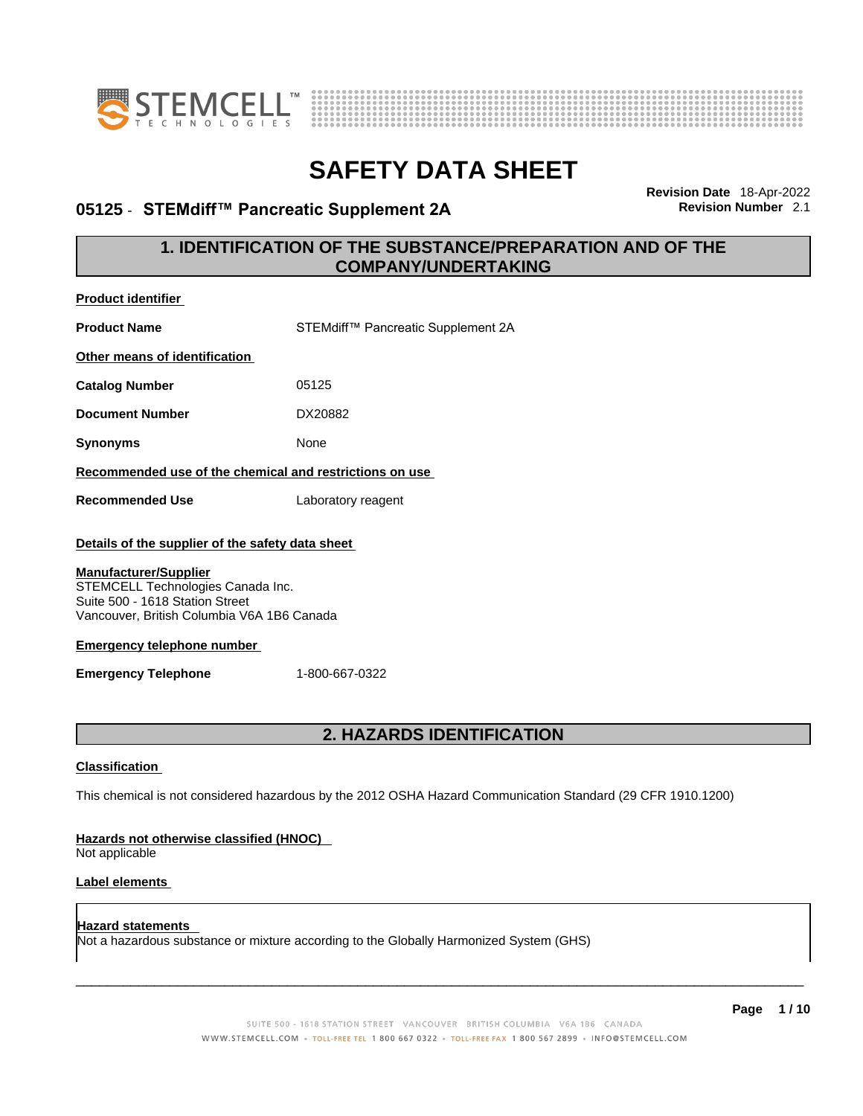



### **05125 · STEMdiff™ Pancreatic Supplement 2A**

**Revision Date** 18-Apr-2022

### **1. IDENTIFICATION OF THE SUBSTANCE/PREPARATION AND OF THE COMPANY/UNDERTAKING**

| <b>Product identifier</b>                                                                                                                          |                                                                                                             |
|----------------------------------------------------------------------------------------------------------------------------------------------------|-------------------------------------------------------------------------------------------------------------|
| <b>Product Name</b>                                                                                                                                | STEMdiff™ Pancreatic Supplement 2A                                                                          |
| Other means of identification                                                                                                                      |                                                                                                             |
| <b>Catalog Number</b>                                                                                                                              | 05125                                                                                                       |
| <b>Document Number</b>                                                                                                                             | DX20882                                                                                                     |
| <b>Synonyms</b>                                                                                                                                    | None                                                                                                        |
| Recommended use of the chemical and restrictions on use                                                                                            |                                                                                                             |
| <b>Recommended Use</b>                                                                                                                             | Laboratory reagent                                                                                          |
| Details of the supplier of the safety data sheet                                                                                                   |                                                                                                             |
| <b>Manufacturer/Supplier</b><br>STEMCELL Technologies Canada Inc.<br>Suite 500 - 1618 Station Street<br>Vancouver, British Columbia V6A 1B6 Canada |                                                                                                             |
| <b>Emergency telephone number</b>                                                                                                                  |                                                                                                             |
| <b>Emergency Telephone</b>                                                                                                                         | 1-800-667-0322                                                                                              |
|                                                                                                                                                    |                                                                                                             |
|                                                                                                                                                    | 2. HAZARDS IDENTIFICATION                                                                                   |
| <b>Classification</b>                                                                                                                              |                                                                                                             |
|                                                                                                                                                    | This chemical is not considered hazardous by the 2012 OSHA Hazard Communication Standard (29 CFR 1910.1200) |
| Hazards not otherwise classified (HNOC)<br>Not applicable                                                                                          |                                                                                                             |
| Label elements                                                                                                                                     |                                                                                                             |
| <b>Hazard statements</b>                                                                                                                           | Not a hazardous substance or mixture according to the Globally Harmonized System (GHS)                      |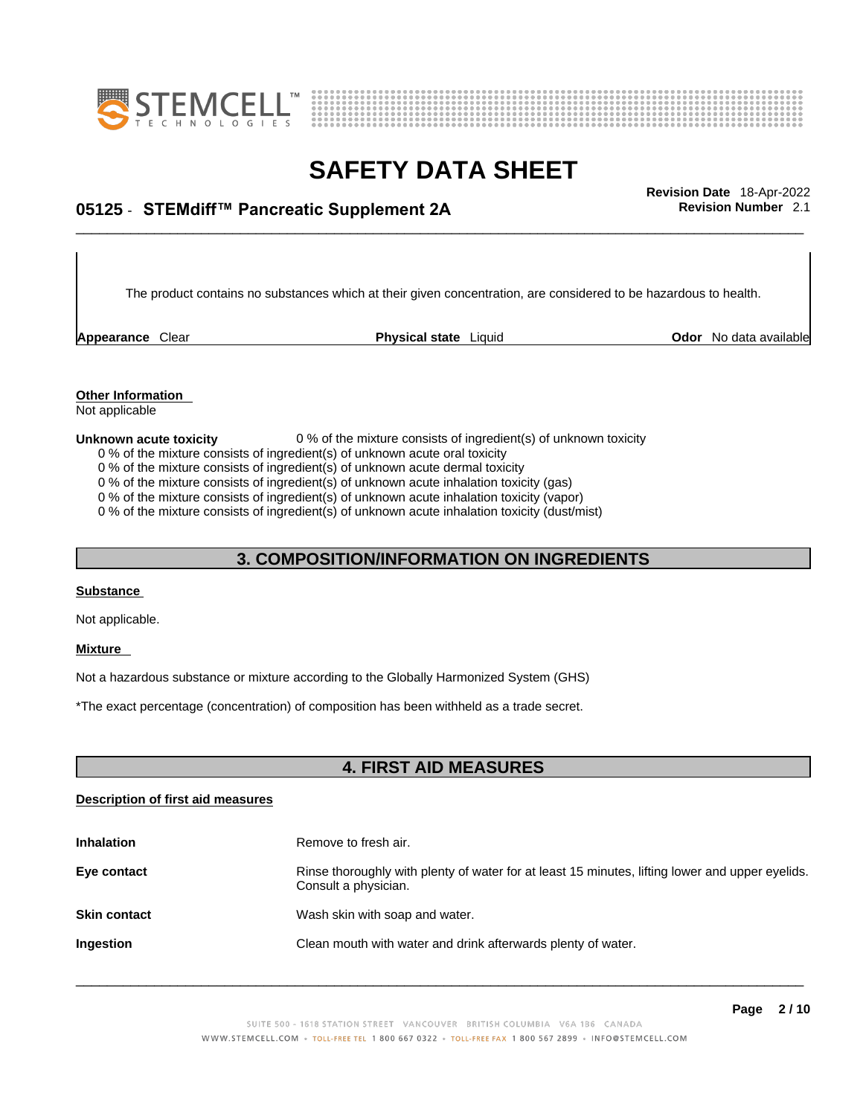



## \_\_\_\_\_\_\_\_\_\_\_\_\_\_\_\_\_\_\_\_\_\_\_\_\_\_\_\_\_\_\_\_\_\_\_\_\_\_\_\_\_\_\_\_\_\_\_\_\_\_\_\_\_\_\_\_\_\_\_\_\_\_\_\_\_\_\_\_\_\_\_\_\_\_\_\_\_\_\_\_\_\_\_\_\_\_\_\_\_\_\_\_\_ **Revision Date** 18-Apr-2022 **05125** - **STEMdiff™ Pancreatic Supplement 2A Revision Number** 2.1

The product contains no substances which at their given concentration, are considered to be hazardous to health.

**Appearance** Clear **Physical state** Liquid

**Odor** No data available

**Other Information**  Not applicable

#### **Unknown acute toxicity** 0 % of the mixture consists of ingredient(s) of unknown toxicity

0 % of the mixture consists of ingredient(s) of unknown acute oral toxicity

0 % of the mixture consists of ingredient(s) of unknown acute dermal toxicity

0 % of the mixture consists of ingredient(s) of unknown acute inhalation toxicity (gas)

0 % of the mixture consists of ingredient(s) of unknown acute inhalation toxicity (vapor)

0 % of the mixture consists of ingredient(s) of unknown acute inhalation toxicity (dust/mist)

### **3. COMPOSITION/INFORMATION ON INGREDIENTS**

#### **Substance**

Not applicable.

#### **Mixture**

Not a hazardous substance or mixture according to the Globally Harmonized System (GHS)

\*The exact percentage (concentration) of composition has been withheld as a trade secret.

### **4. FIRST AID MEASURES**

### **Description of first aid measures**

| <b>Inhalation</b>   | Remove to fresh air.                                                                                                    |
|---------------------|-------------------------------------------------------------------------------------------------------------------------|
| Eye contact         | Rinse thoroughly with plenty of water for at least 15 minutes, lifting lower and upper eyelids.<br>Consult a physician. |
| <b>Skin contact</b> | Wash skin with soap and water.                                                                                          |
| Ingestion           | Clean mouth with water and drink afterwards plenty of water.                                                            |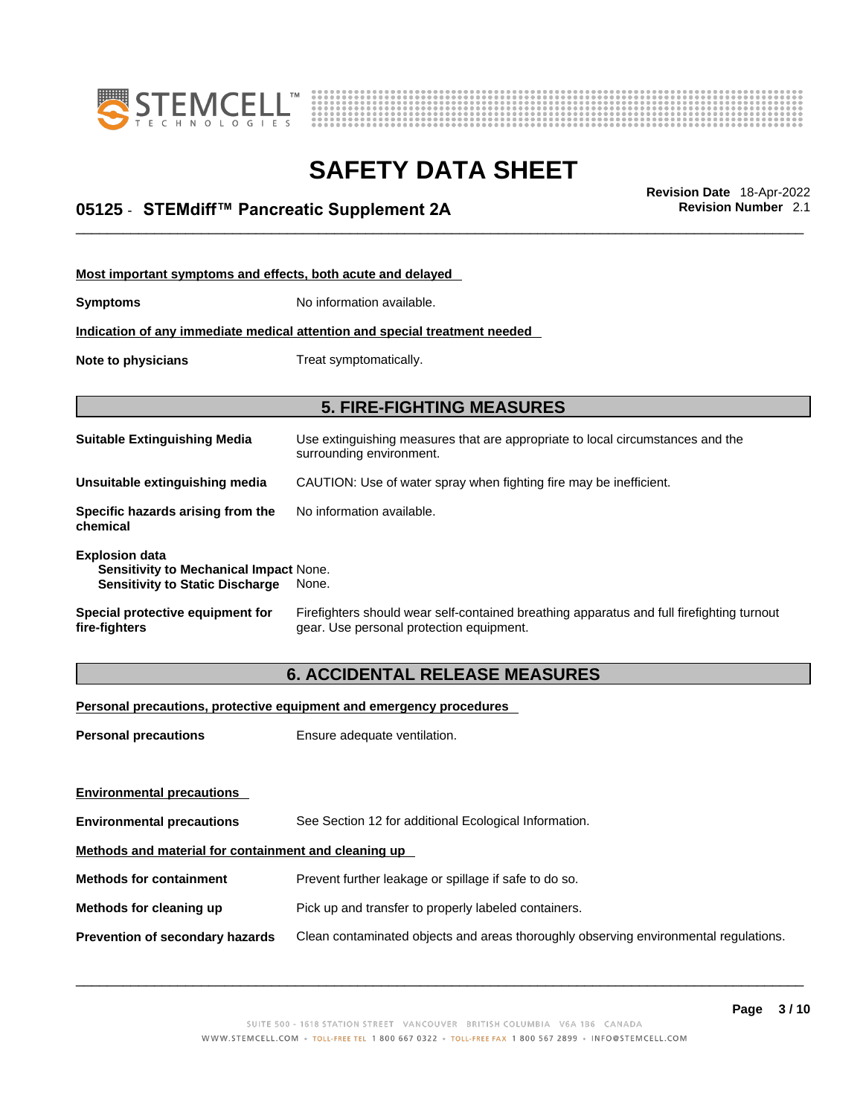



## \_\_\_\_\_\_\_\_\_\_\_\_\_\_\_\_\_\_\_\_\_\_\_\_\_\_\_\_\_\_\_\_\_\_\_\_\_\_\_\_\_\_\_\_\_\_\_\_\_\_\_\_\_\_\_\_\_\_\_\_\_\_\_\_\_\_\_\_\_\_\_\_\_\_\_\_\_\_\_\_\_\_\_\_\_\_\_\_\_\_\_\_\_ **Revision Date** 18-Apr-2022 **05125** - **STEMdiff™ Pancreatic Supplement 2A Revision Number** 2.1

| Most important symptoms and effects, both acute and delayed                                                      |                                                                                                                                       |  |  |
|------------------------------------------------------------------------------------------------------------------|---------------------------------------------------------------------------------------------------------------------------------------|--|--|
| <b>Symptoms</b>                                                                                                  | No information available.                                                                                                             |  |  |
|                                                                                                                  | Indication of any immediate medical attention and special treatment needed                                                            |  |  |
| Note to physicians                                                                                               | Treat symptomatically.                                                                                                                |  |  |
|                                                                                                                  |                                                                                                                                       |  |  |
|                                                                                                                  | <b>5. FIRE-FIGHTING MEASURES</b>                                                                                                      |  |  |
| <b>Suitable Extinguishing Media</b>                                                                              | Use extinguishing measures that are appropriate to local circumstances and the<br>surrounding environment.                            |  |  |
| Unsuitable extinguishing media                                                                                   | CAUTION: Use of water spray when fighting fire may be inefficient.                                                                    |  |  |
| Specific hazards arising from the<br>chemical                                                                    | No information available.                                                                                                             |  |  |
| <b>Explosion data</b><br><b>Sensitivity to Mechanical Impact None.</b><br><b>Sensitivity to Static Discharge</b> | None.                                                                                                                                 |  |  |
| Special protective equipment for<br>fire-fiqhters                                                                | Firefighters should wear self-contained breathing apparatus and full firefighting turnout<br>gear. Use personal protection equipment. |  |  |

### **6. ACCIDENTAL RELEASE MEASURES**

### **Personal precautions, protective equipment and emergency procedures**

| <b>Personal precautions</b>                          | Ensure adequate ventilation.                                                         |
|------------------------------------------------------|--------------------------------------------------------------------------------------|
| <b>Environmental precautions</b>                     |                                                                                      |
| <b>Environmental precautions</b>                     | See Section 12 for additional Ecological Information.                                |
| Methods and material for containment and cleaning up |                                                                                      |
| <b>Methods for containment</b>                       | Prevent further leakage or spillage if safe to do so.                                |
| Methods for cleaning up                              | Pick up and transfer to properly labeled containers.                                 |
| Prevention of secondary hazards                      | Clean contaminated objects and areas thoroughly observing environmental regulations. |
|                                                      |                                                                                      |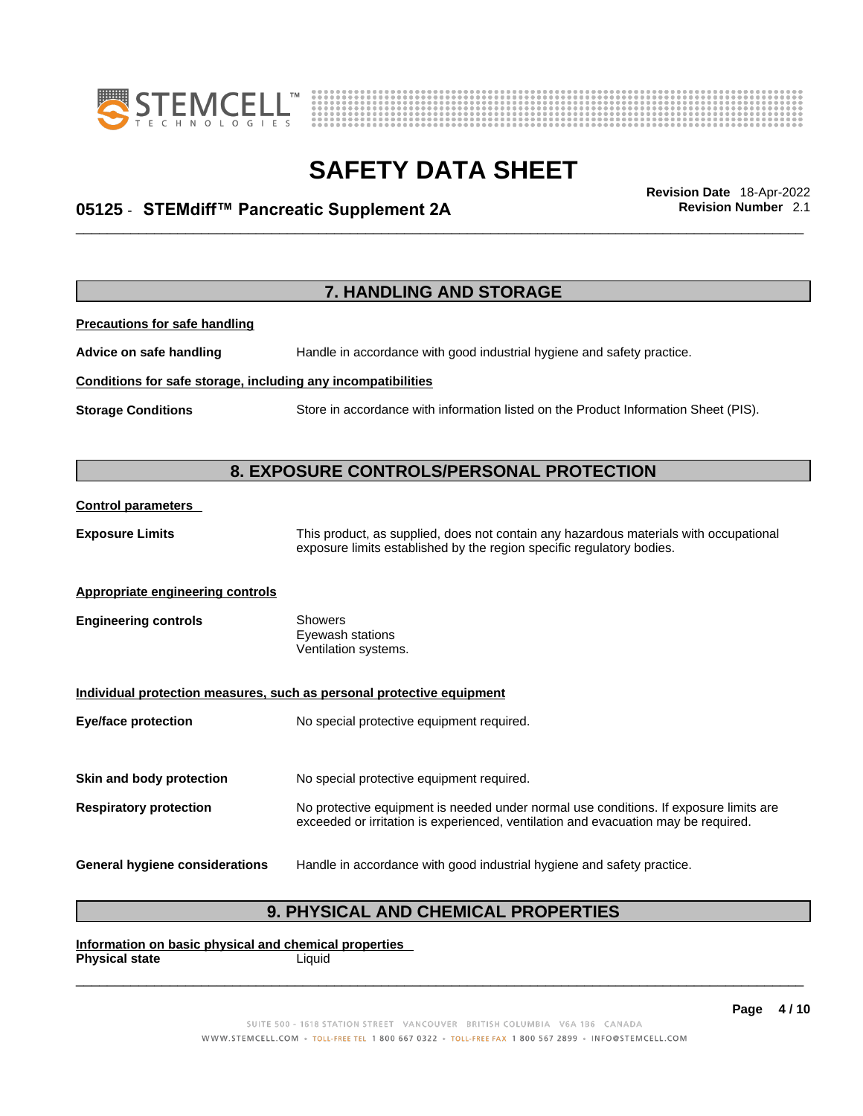



## \_\_\_\_\_\_\_\_\_\_\_\_\_\_\_\_\_\_\_\_\_\_\_\_\_\_\_\_\_\_\_\_\_\_\_\_\_\_\_\_\_\_\_\_\_\_\_\_\_\_\_\_\_\_\_\_\_\_\_\_\_\_\_\_\_\_\_\_\_\_\_\_\_\_\_\_\_\_\_\_\_\_\_\_\_\_\_\_\_\_\_\_\_ **Revision Date** 18-Apr-2022 **05125** - **STEMdiff™ Pancreatic Supplement 2A Revision Number** 2.1

|                                                              | <b>7. HANDLING AND STORAGE</b>                                                                                                                                              |
|--------------------------------------------------------------|-----------------------------------------------------------------------------------------------------------------------------------------------------------------------------|
| <b>Precautions for safe handling</b>                         |                                                                                                                                                                             |
| Advice on safe handling                                      | Handle in accordance with good industrial hygiene and safety practice.                                                                                                      |
| Conditions for safe storage, including any incompatibilities |                                                                                                                                                                             |
| <b>Storage Conditions</b>                                    | Store in accordance with information listed on the Product Information Sheet (PIS).                                                                                         |
|                                                              | 8. EXPOSURE CONTROLS/PERSONAL PROTECTION                                                                                                                                    |
| <b>Control parameters</b>                                    |                                                                                                                                                                             |
| <b>Exposure Limits</b>                                       | This product, as supplied, does not contain any hazardous materials with occupational<br>exposure limits established by the region specific regulatory bodies.              |
| <b>Appropriate engineering controls</b>                      |                                                                                                                                                                             |
| <b>Engineering controls</b>                                  | Showers<br>Eyewash stations<br>Ventilation systems.                                                                                                                         |
|                                                              | Individual protection measures, such as personal protective equipment                                                                                                       |
| <b>Eye/face protection</b>                                   | No special protective equipment required.                                                                                                                                   |
| Skin and body protection                                     | No special protective equipment required.                                                                                                                                   |
| <b>Respiratory protection</b>                                | No protective equipment is needed under normal use conditions. If exposure limits are<br>exceeded or irritation is experienced, ventilation and evacuation may be required. |
| <b>General hygiene considerations</b>                        | Handle in accordance with good industrial hygiene and safety practice.                                                                                                      |

### **9. PHYSICAL AND CHEMICAL PROPERTIES**

**Information on basic physical and chemical properties Physical state** Liquid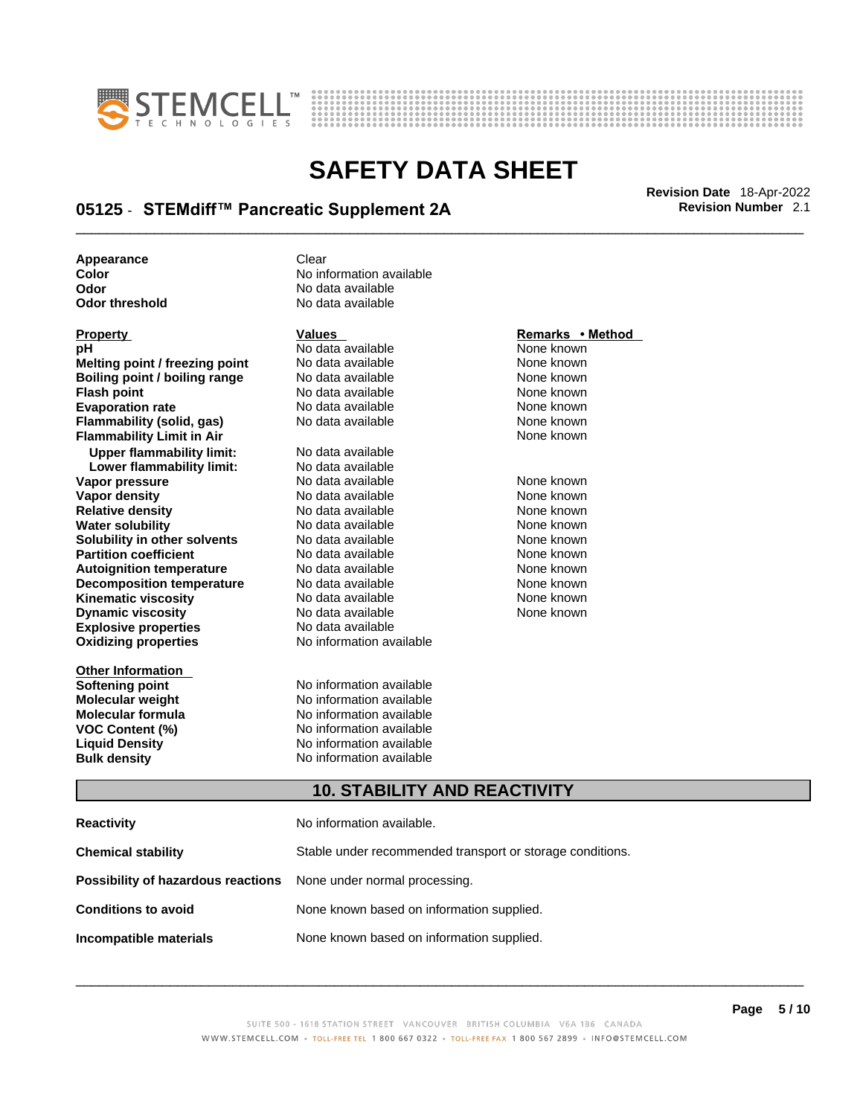



## \_\_\_\_\_\_\_\_\_\_\_\_\_\_\_\_\_\_\_\_\_\_\_\_\_\_\_\_\_\_\_\_\_\_\_\_\_\_\_\_\_\_\_\_\_\_\_\_\_\_\_\_\_\_\_\_\_\_\_\_\_\_\_\_\_\_\_\_\_\_\_\_\_\_\_\_\_\_\_\_\_\_\_\_\_\_\_\_\_\_\_\_\_ **Revision Date** 18-Apr-2022 **05125** - **STEMdiff™ Pancreatic Supplement 2A Revision Number** 2.1

**No data available** 

**Appearance** Clear<br> **Color** No inf **Color Color Color Color Color Color Color Color Color Color Color No** data available **Odor No data available**<br> **Odor threshold No data available** 

| <b>Property</b>                    | <b>Values</b>                                             | Remarks • Method |
|------------------------------------|-----------------------------------------------------------|------------------|
| рH                                 | No data available                                         | None known       |
| Melting point / freezing point     | No data available                                         | None known       |
| Boiling point / boiling range      | No data available                                         | None known       |
| <b>Flash point</b>                 | No data available                                         | None known       |
| <b>Evaporation rate</b>            | No data available                                         | None known       |
| Flammability (solid, gas)          | No data available                                         | None known       |
| <b>Flammability Limit in Air</b>   |                                                           | None known       |
| <b>Upper flammability limit:</b>   | No data available                                         |                  |
| Lower flammability limit:          | No data available                                         |                  |
| Vapor pressure                     | No data available                                         | None known       |
| <b>Vapor density</b>               | No data available                                         | None known       |
| <b>Relative density</b>            | No data available                                         | None known       |
| <b>Water solubility</b>            | No data available                                         | None known       |
| Solubility in other solvents       | No data available                                         | None known       |
| <b>Partition coefficient</b>       | No data available                                         | None known       |
| <b>Autoignition temperature</b>    | No data available                                         | None known       |
| <b>Decomposition temperature</b>   | No data available                                         | None known       |
| <b>Kinematic viscosity</b>         | No data available                                         | None known       |
| <b>Dynamic viscosity</b>           | No data available                                         | None known       |
| <b>Explosive properties</b>        | No data available                                         |                  |
| <b>Oxidizing properties</b>        | No information available                                  |                  |
| <b>Other Information</b>           |                                                           |                  |
| <b>Softening point</b>             | No information available                                  |                  |
| <b>Molecular weight</b>            | No information available                                  |                  |
| <b>Molecular formula</b>           | No information available                                  |                  |
| <b>VOC Content (%)</b>             | No information available                                  |                  |
| <b>Liquid Density</b>              | No information available                                  |                  |
| <b>Bulk density</b>                | No information available                                  |                  |
|                                    | <b>10. STABILITY AND REACTIVITY</b>                       |                  |
| <b>Reactivity</b>                  | No information available.                                 |                  |
| <b>Chemical stability</b>          | Stable under recommended transport or storage conditions. |                  |
| Possibility of hazardous reactions | None under normal processing.                             |                  |

**Conditions to avoid** None known based on information supplied.

**Incompatible materials** None known based on information supplied.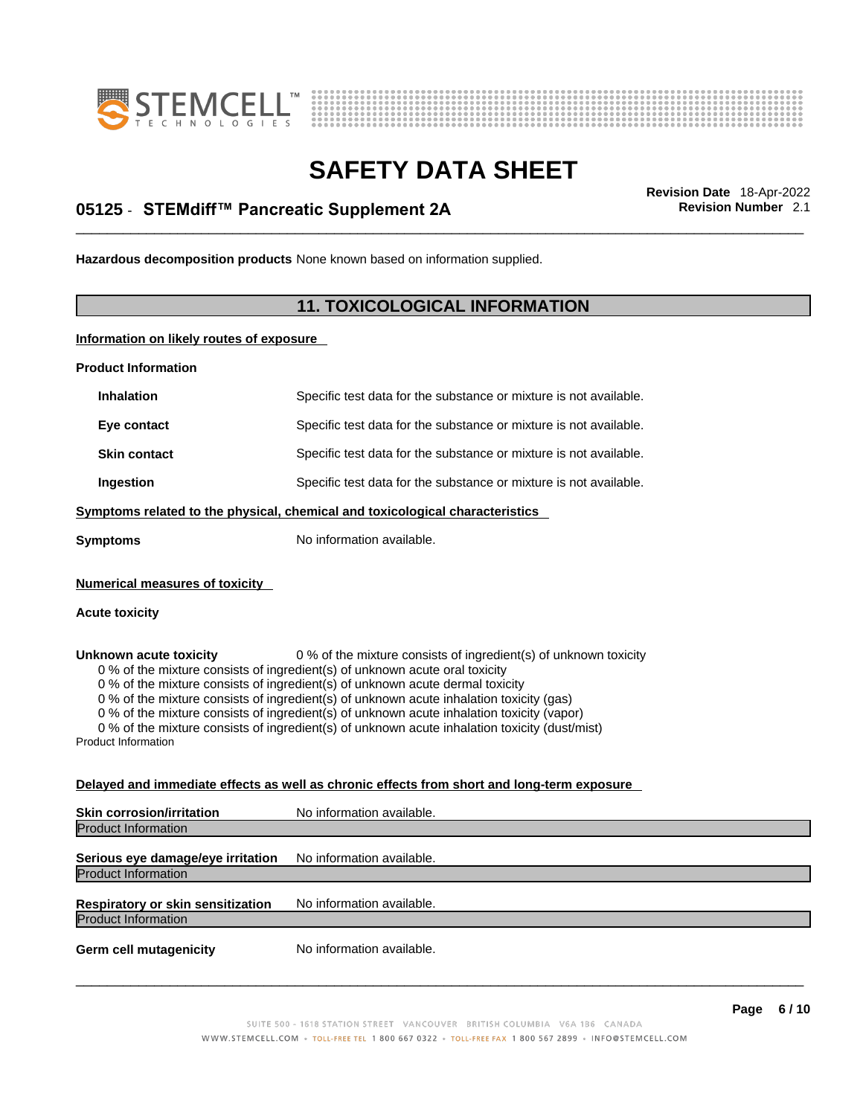



## \_\_\_\_\_\_\_\_\_\_\_\_\_\_\_\_\_\_\_\_\_\_\_\_\_\_\_\_\_\_\_\_\_\_\_\_\_\_\_\_\_\_\_\_\_\_\_\_\_\_\_\_\_\_\_\_\_\_\_\_\_\_\_\_\_\_\_\_\_\_\_\_\_\_\_\_\_\_\_\_\_\_\_\_\_\_\_\_\_\_\_\_\_ **Revision Date** 18-Apr-2022 **05125** - **STEMdiff™ Pancreatic Supplement 2A Revision Number** 2.1

**Hazardous decomposition products** None known based on information supplied.

### **11. TOXICOLOGICAL INFORMATION**

**Information on likely routes of exposure**

**Product Information**

| <b>Inhalation</b>                                              | Specific test data for the substance or mixture is not available.                                                                                                                                                                                                                                                                                                                                                                                                                                                         |
|----------------------------------------------------------------|---------------------------------------------------------------------------------------------------------------------------------------------------------------------------------------------------------------------------------------------------------------------------------------------------------------------------------------------------------------------------------------------------------------------------------------------------------------------------------------------------------------------------|
| Eye contact                                                    | Specific test data for the substance or mixture is not available.                                                                                                                                                                                                                                                                                                                                                                                                                                                         |
| <b>Skin contact</b>                                            | Specific test data for the substance or mixture is not available.                                                                                                                                                                                                                                                                                                                                                                                                                                                         |
| Ingestion                                                      | Specific test data for the substance or mixture is not available.                                                                                                                                                                                                                                                                                                                                                                                                                                                         |
|                                                                | Symptoms related to the physical, chemical and toxicological characteristics                                                                                                                                                                                                                                                                                                                                                                                                                                              |
| <b>Symptoms</b>                                                | No information available.                                                                                                                                                                                                                                                                                                                                                                                                                                                                                                 |
| <b>Numerical measures of toxicity</b>                          |                                                                                                                                                                                                                                                                                                                                                                                                                                                                                                                           |
| <b>Acute toxicity</b>                                          |                                                                                                                                                                                                                                                                                                                                                                                                                                                                                                                           |
| Unknown acute toxicity<br><b>Product Information</b>           | 0 % of the mixture consists of ingredient(s) of unknown toxicity<br>0 % of the mixture consists of ingredient(s) of unknown acute oral toxicity<br>0 % of the mixture consists of ingredient(s) of unknown acute dermal toxicity<br>0 % of the mixture consists of ingredient(s) of unknown acute inhalation toxicity (gas)<br>0 % of the mixture consists of ingredient(s) of unknown acute inhalation toxicity (vapor)<br>0 % of the mixture consists of ingredient(s) of unknown acute inhalation toxicity (dust/mist) |
|                                                                | Delayed and immediate effects as well as chronic effects from short and long-term exposure                                                                                                                                                                                                                                                                                                                                                                                                                                |
| <b>Skin corrosion/irritation</b><br><b>Product Information</b> | No information available.                                                                                                                                                                                                                                                                                                                                                                                                                                                                                                 |
| Serious eye damage/eye irritation                              | No information available.                                                                                                                                                                                                                                                                                                                                                                                                                                                                                                 |

Product Information **Respiratory or skin sensitization** No information available. Product Information

**Germ cell mutagenicity** No information available.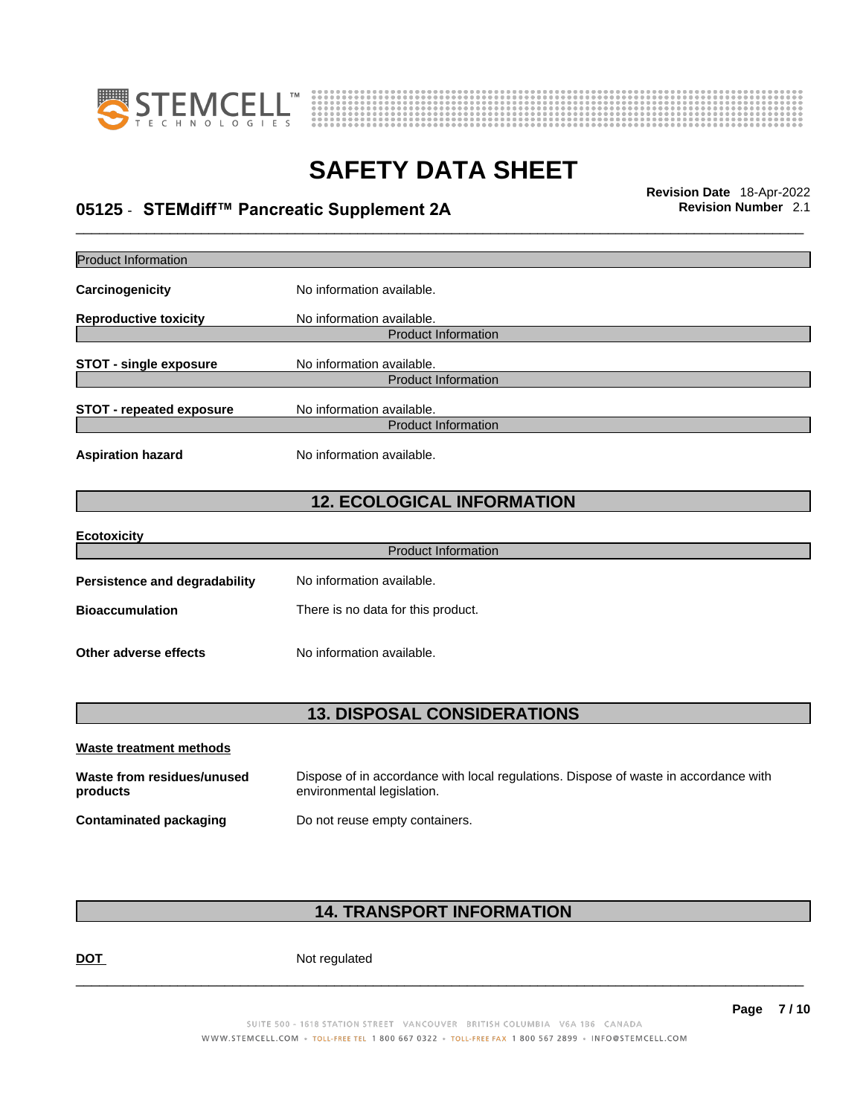



## \_\_\_\_\_\_\_\_\_\_\_\_\_\_\_\_\_\_\_\_\_\_\_\_\_\_\_\_\_\_\_\_\_\_\_\_\_\_\_\_\_\_\_\_\_\_\_\_\_\_\_\_\_\_\_\_\_\_\_\_\_\_\_\_\_\_\_\_\_\_\_\_\_\_\_\_\_\_\_\_\_\_\_\_\_\_\_\_\_\_\_\_\_ **Revision Date** 18-Apr-2022 **05125** - **STEMdiff™ Pancreatic Supplement 2A Revision Number** 2.1

| <b>Product Information</b>             |                                                                                                                    |
|----------------------------------------|--------------------------------------------------------------------------------------------------------------------|
| Carcinogenicity                        | No information available.                                                                                          |
| <b>Reproductive toxicity</b>           | No information available.                                                                                          |
|                                        | <b>Product Information</b>                                                                                         |
| <b>STOT - single exposure</b>          | No information available.<br><b>Product Information</b>                                                            |
| <b>STOT - repeated exposure</b>        | No information available.                                                                                          |
|                                        | <b>Product Information</b>                                                                                         |
| <b>Aspiration hazard</b>               | No information available.                                                                                          |
|                                        | <b>12. ECOLOGICAL INFORMATION</b>                                                                                  |
| <b>Ecotoxicity</b>                     |                                                                                                                    |
|                                        | <b>Product Information</b>                                                                                         |
| Persistence and degradability          | No information available.                                                                                          |
| <b>Bioaccumulation</b>                 | There is no data for this product.                                                                                 |
| Other adverse effects                  | No information available.                                                                                          |
|                                        |                                                                                                                    |
|                                        | <b>13. DISPOSAL CONSIDERATIONS</b>                                                                                 |
| Waste treatment methods                |                                                                                                                    |
| Waste from residues/unused<br>products | Dispose of in accordance with local regulations. Dispose of waste in accordance with<br>environmental legislation. |
| Contaminated packaging                 | Do not reuse empty containers.                                                                                     |

### **14. TRANSPORT INFORMATION**

DOT Not regulated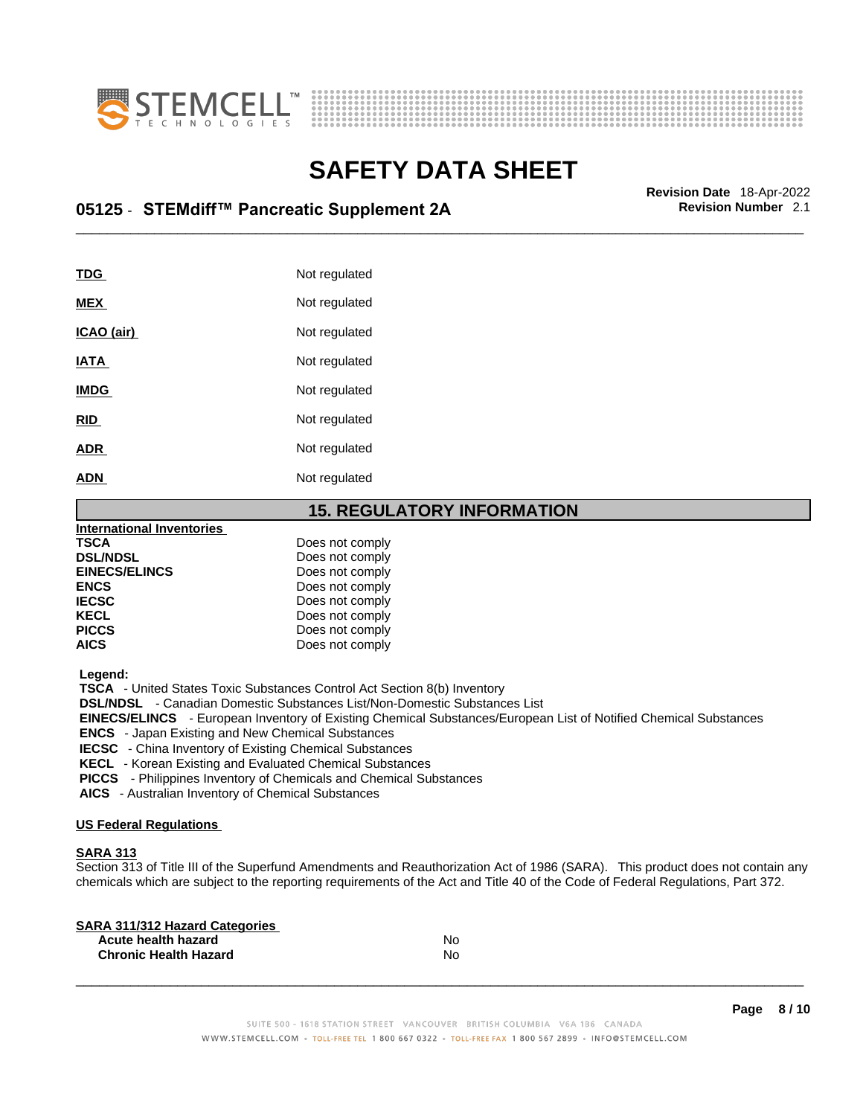



## \_\_\_\_\_\_\_\_\_\_\_\_\_\_\_\_\_\_\_\_\_\_\_\_\_\_\_\_\_\_\_\_\_\_\_\_\_\_\_\_\_\_\_\_\_\_\_\_\_\_\_\_\_\_\_\_\_\_\_\_\_\_\_\_\_\_\_\_\_\_\_\_\_\_\_\_\_\_\_\_\_\_\_\_\_\_\_\_\_\_\_\_\_ **Revision Date** 18-Apr-2022 **05125** - **STEMdiff™ Pancreatic Supplement 2A Revision Number** 2.1

| TDG               | Not regulated |
|-------------------|---------------|
| <b>MEX</b>        | Not regulated |
| <u>ICAO (air)</u> | Not regulated |
| <b>IATA</b>       | Not regulated |
| <b>IMDG</b>       | Not regulated |
| <b>RID</b>        | Not regulated |
| <b>ADR</b>        | Not regulated |
| <b>ADN</b>        | Not regulated |

### **15. REGULATORY INFORMATION**

| <b>International Inventories</b> |                 |  |
|----------------------------------|-----------------|--|
| <b>TSCA</b>                      | Does not comply |  |
| <b>DSL/NDSL</b>                  | Does not comply |  |
| <b>EINECS/ELINCS</b>             | Does not comply |  |
| <b>ENCS</b>                      | Does not comply |  |
| <b>IECSC</b>                     | Does not comply |  |
| <b>KECL</b>                      | Does not comply |  |
| <b>PICCS</b>                     | Does not comply |  |
| <b>AICS</b>                      | Does not comply |  |
|                                  |                 |  |

 **Legend:** 

 **TSCA** - United States Toxic Substances Control Act Section 8(b) Inventory

 **DSL/NDSL** - Canadian Domestic Substances List/Non-Domestic Substances List

 **EINECS/ELINCS** - European Inventory of Existing Chemical Substances/European List of Notified Chemical Substances

 **ENCS** - Japan Existing and New Chemical Substances

 **IECSC** - China Inventory of Existing Chemical Substances

 **KECL** - Korean Existing and Evaluated Chemical Substances

 **PICCS** - Philippines Inventory of Chemicals and Chemical Substances

 **AICS** - Australian Inventory of Chemical Substances

### **US Federal Regulations**

### **SARA 313**

Section 313 of Title III of the Superfund Amendments and Reauthorization Act of 1986 (SARA). This product does not contain any chemicals which are subject to the reporting requirements of the Act and Title 40 of the Code of Federal Regulations, Part 372.

| No |  |
|----|--|
| N٥ |  |
|    |  |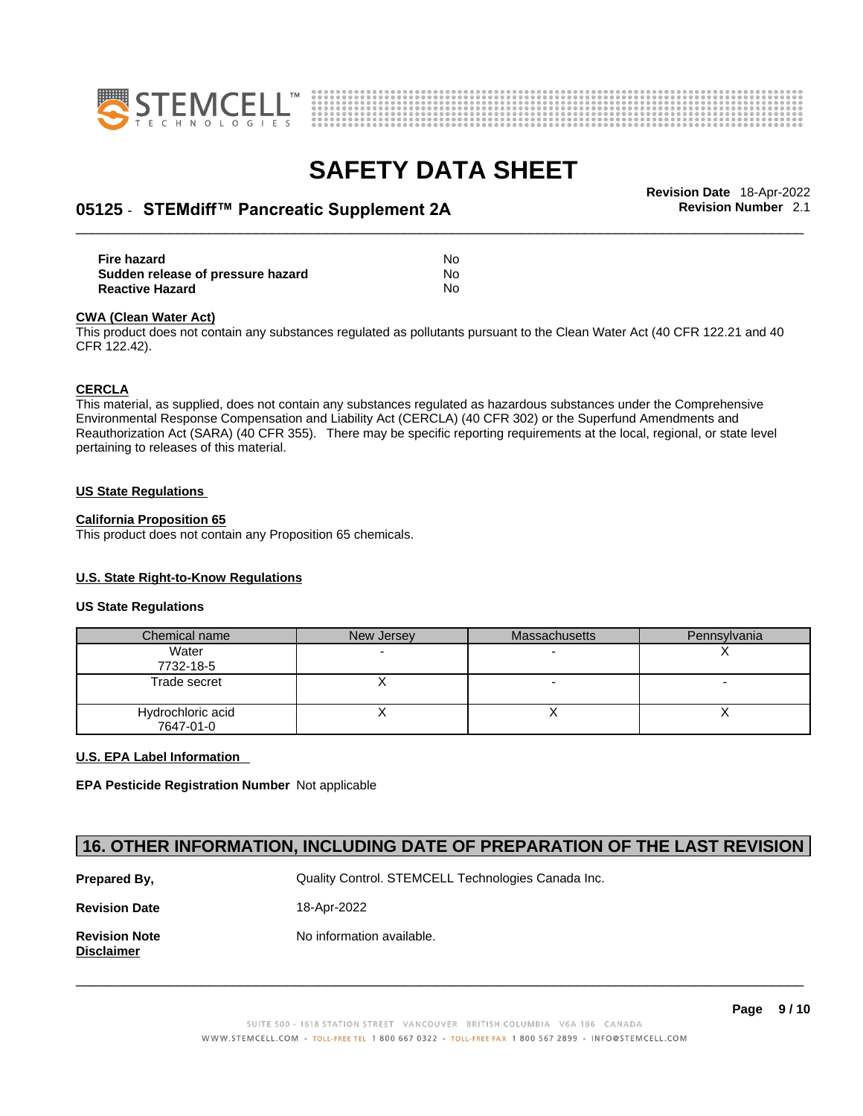



## \_\_\_\_\_\_\_\_\_\_\_\_\_\_\_\_\_\_\_\_\_\_\_\_\_\_\_\_\_\_\_\_\_\_\_\_\_\_\_\_\_\_\_\_\_\_\_\_\_\_\_\_\_\_\_\_\_\_\_\_\_\_\_\_\_\_\_\_\_\_\_\_\_\_\_\_\_\_\_\_\_\_\_\_\_\_\_\_\_\_\_\_\_ **Revision Date** 18-Apr-2022 **05125** - **STEMdiff™ Pancreatic Supplement 2A Revision Number** 2.1

**Fire hazard** No **Sudden release of pressure hazard Reactive Hazard** No

#### **CWA** (Clean Water Act)

This product does not contain any substances regulated as pollutants pursuant to the Clean Water Act (40 CFR 122.21 and 40 CFR 122.42).

#### **CERCLA**

This material, as supplied, does not contain any substances regulated as hazardous substances under the Comprehensive Environmental Response Compensation and Liability Act (CERCLA) (40 CFR 302) or the Superfund Amendments and Reauthorization Act (SARA) (40 CFR 355). There may be specific reporting requirements at the local, regional, or state level pertaining to releases of this material.

#### **US State Regulations**

#### **California Proposition 65**

This product does not contain any Proposition 65 chemicals.

### **U.S. State Right-to-Know Regulations**

#### **US State Regulations**

| Chemical name                  | New Jersey | <b>Massachusetts</b> | Pennsylvania |
|--------------------------------|------------|----------------------|--------------|
| Water<br>7732-18-5             |            |                      |              |
| Trade secret                   |            |                      |              |
| Hydrochloric acid<br>7647-01-0 |            |                      |              |

### **U.S. EPA Label Information**

**EPA Pesticide Registration Number** Not applicable

### **16. OTHER INFORMATION, INCLUDING DATE OF PREPARATION OF THE LAST REVISION**

| Prepared By,                       | Quality Control. STEMCELL Technologies Canada Inc. |
|------------------------------------|----------------------------------------------------|
| <b>Revision Date</b>               | 18-Apr-2022                                        |
| <b>Revision Note</b><br>Disclaimer | No information available.                          |